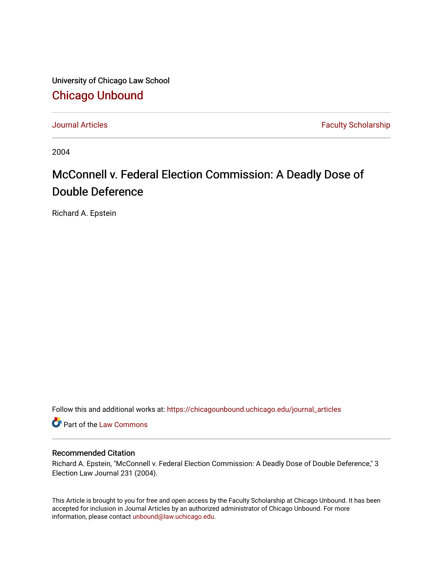University of Chicago Law School [Chicago Unbound](https://chicagounbound.uchicago.edu/)

[Journal Articles](https://chicagounbound.uchicago.edu/journal_articles) **Faculty Scholarship Faculty Scholarship** 

2004

# McConnell v. Federal Election Commission: A Deadly Dose of Double Deference

Richard A. Epstein

Follow this and additional works at: [https://chicagounbound.uchicago.edu/journal\\_articles](https://chicagounbound.uchicago.edu/journal_articles?utm_source=chicagounbound.uchicago.edu%2Fjournal_articles%2F384&utm_medium=PDF&utm_campaign=PDFCoverPages) 

Part of the [Law Commons](http://network.bepress.com/hgg/discipline/578?utm_source=chicagounbound.uchicago.edu%2Fjournal_articles%2F384&utm_medium=PDF&utm_campaign=PDFCoverPages)

### Recommended Citation

Richard A. Epstein, "McConnell v. Federal Election Commission: A Deadly Dose of Double Deference," 3 Election Law Journal 231 (2004).

This Article is brought to you for free and open access by the Faculty Scholarship at Chicago Unbound. It has been accepted for inclusion in Journal Articles by an authorized administrator of Chicago Unbound. For more information, please contact [unbound@law.uchicago.edu](mailto:unbound@law.uchicago.edu).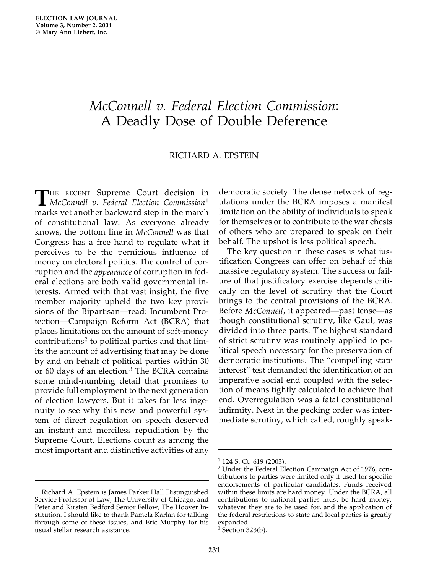## *McConnell v. Federal Election Commission*: A Deadly Dose of Double Deference

#### RICHARD A. EPSTEIN

THE RECENT Supreme Court decision in de McConnell v. Federal Election Commission<sup>1</sup> ul *McConnell v. Federal Election Commission*<sup>1</sup> marks yet another backward step in the march of constitutional law. As everyone already knows, the bottom line in *McConnell* was that Congress has a free hand to regulate what it perceives to be the pernicious influence of money on electoral politics. The control of corruption and the *appearance* of corruption in federal elections are both valid governmental interests. Armed with that vast insight, the five member majority upheld the two key provisions of the Bipartisan—read: Incumbent Protection—Campaign Reform Act (BCRA) that places limitations on the amount of soft-money contributions<sup>2</sup> to political parties and that limits the amount of advertising that may be done by and on behalf of political parties within 30 or 60 days of an election.<sup>3</sup> The BCRA contains some mind-numbing detail that promises to provide full employment to the next generation of election lawyers. But it takes far less ingenuity to see why this new and powerful system of direct regulation on speech deserved an instant and merciless repudiation by the Supreme Court. Elections count as among the most important and distinctive activities of any

democratic society. The dense network of regulations under the BCRA imposes a manifest limitation on the ability of individuals to speak for themselves or to contribute to the war chests of others who are prepared to speak on their behalf. The upshot is less political speech.

The key question in these cases is what justification Congress can offer on behalf of this massive regulatory system. The success or failure of that justificatory exercise depends critically on the level of scrutiny that the Court brings to the central provisions of the BCRA. Before *McConnell*, it appeared—past tense—as though constitutional scrutiny, like Gaul, was divided into three parts. The highest standard of strict scrutiny was routinely applied to political speech necessary for the preservation of democratic institutions. The "compelling state interest" test demanded the identification of an imperative social end coupled with the selection of means tightly calculated to achieve that end. Overregulation was a fatal constitutional infirmity. Next in the pecking order was intermediate scrutiny, which called, roughly speak-

Richard A. Epstein is James Parker Hall Distinguished Service Professor of Law, The University of Chicago, and Peter and Kirsten Bedford Senior Fellow, The Hoover Institution. I should like to thank Pamela Karlan for talking through some of these issues, and Eric Murphy for his usual stellar research asistance.

 $1$  124 S. Ct. 619 (2003).

<sup>2</sup> Under the Federal Election Campaign Act of 1976, contributions to parties were limited only if used for specific endorsements of particular candidates. Funds received within these limits are hard money. Under the BCRA, all contributions to national parties must be hard money, whatever they are to be used for, and the application of the federal restrictions to state and local parties is greatly expanded.

<sup>3</sup> Section 323(b).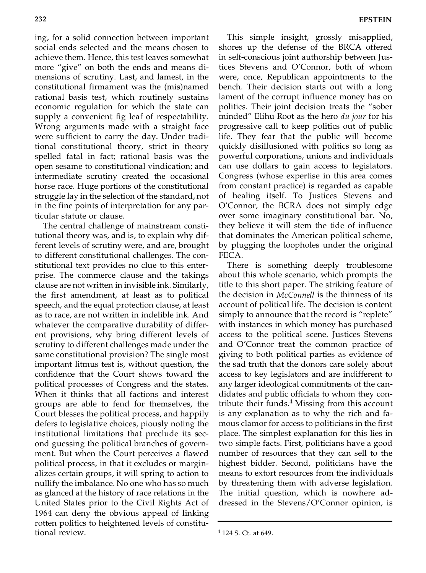ing, for a solid connection between important social ends selected and the means chosen to achieve them. Hence, this test leaves somewhat more "give" on both the ends and means dimensions of scrutiny. Last, and lamest, in the constitutional firmament was the (mis)named rational basis test, which routinely sustains economic regulation for which the state can supply a convenient fig leaf of respectability. Wrong arguments made with a straight face were sufficient to carry the day. Under traditional constitutional theory, strict in theory spelled fatal in fact; rational basis was the open sesame to constitutional vindication; and intermediate scrutiny created the occasional horse race. Huge portions of the constitutional struggle lay in the selection of the standard, not in the fine points of interpretation for any particular statute or clause.

The central challenge of mainstream constitutional theory was, and is, to explain why different levels of scrutiny were, and are, brought to different constitutional challenges. The constitutional text provides no clue to this enterprise. The commerce clause and the takings clause are not written in invisible ink. Similarly, the first amendment, at least as to political speech, and the equal protection clause, at least as to race, are not written in indelible ink. And whatever the comparative durability of different provisions, why bring different levels of scrutiny to different challenges made under the same constitutional provision? The single most important litmus test is, without question, the confidence that the Court shows toward the political processes of Congress and the states. When it thinks that all factions and interest groups are able to fend for themselves, the Court blesses the political process, and happily defers to legislative choices, piously noting the institutional limitations that preclude its second guessing the political branches of government. But when the Court perceives a flawed political process, in that it excludes or marginalizes certain groups, it will spring to action to nullify the imbalance. No one who has so much as glanced at the history of race relations in the United States prior to the Civil Rights Act of 1964 can deny the obvious appeal of linking rotten politics to heightened levels of constitutional review.

This simple insight, grossly misapplied, shores up the defense of the BRCA offered in self-conscious joint authorship between Justices Stevens and O'Connor, both of whom were, once, Republican appointments to the bench. Their decision starts out with a long lament of the corrupt influence money has on politics. Their joint decision treats the "sober minded" Elihu Root as the hero *du jour* for his progressive call to keep politics out of public life. They fear that the public will become quickly disillusioned with politics so long as powerful corporations, unions and individuals can use dollars to gain access to legislators. Congress (whose expertise in this area comes from constant practice) is regarded as capable of healing itself. To Justices Stevens and O'Connor, the BCRA does not simply edge over some imaginary constitutional bar. No, they believe it will stem the tide of influence that dominates the American political scheme, by plugging the loopholes under the original FECA.

There is something deeply troublesome about this whole scenario, which prompts the title to this short paper. The striking feature of the decision in *McConnell* is the thinness of its account of political life. The decision is content simply to announce that the record is "replete" with instances in which money has purchased access to the political scene. Justices Stevens and O'Connor treat the common practice of giving to both political parties as evidence of the sad truth that the donors care solely about access to key legislators and are indifferent to any larger ideological commitments of the candidates and public officials to whom they contribute their funds.<sup>4</sup> Missing from this account is any explanation as to why the rich and famous clamor for access to politicians in the first place. The simplest explanation for this lies in two simple facts. First, politicians have a good number of resources that they can sell to the highest bidder. Second, politicians have the means to extort resources from the individuals by threatening them with adverse legislation. The initial question, which is nowhere addressed in the Stevens/O'Connor opinion, is

<sup>4</sup> 124 S. Ct. at 649.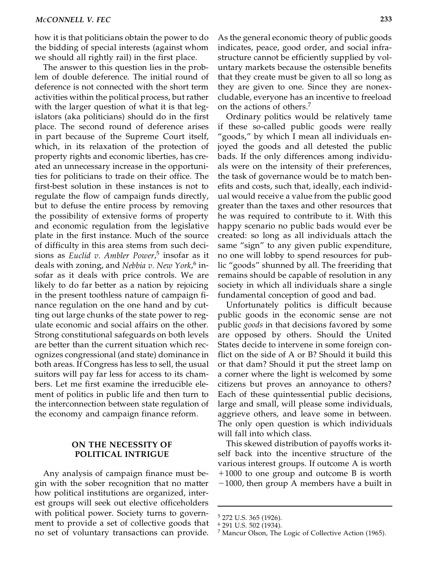how it is that politicians obtain the power to do the bidding of special interests (against whom we should all rightly rail) in the first place.

The answer to this question lies in the problem of double deference. The initial round of deference is not connected with the short term activities within the political process, but rather with the larger question of what it is that legislators (aka politicians) should do in the first place. The second round of deference arises in part because of the Supreme Court itself, which, in its relaxation of the protection of property rights and economic liberties, has created an unnecessary increase in the opportunities for politicians to trade on their office. The first-best solution in these instances is not to regulate the flow of campaign funds directly, but to defuse the entire process by removing the possibility of extensive forms of property and economic regulation from the legislative plate in the first instance. Much of the source of difficulty in this area stems from such decisions as *Euclid v. Ambler Power*,<sup>5</sup> insofar as it deals with zoning, and *Nebbia v. New York*,<sup>6</sup> insofar as it deals with price controls. We are likely to do far better as a nation by rejoicing in the present toothless nature of campaign finance regulation on the one hand and by cutting out large chunks of the state power to regulate economic and social affairs on the other. Strong constitutional safeguards on both levels are better than the current situation which recognizes congressional (and state) dominance in both areas. If Congress has less to sell, the usual suitors will pay far less for access to its chambers. Let me first examine the irreducible element of politics in public life and then turn to the interconnection between state regulation of the economy and campaign finance reform.

#### **ON THE NECESSITY OF POLITICAL INTRIGUE**

Any analysis of campaign finance must begin with the sober recognition that no matter how political institutions are organized, interest groups will seek out elective officeholders with political power. Society turns to government to provide a set of collective goods that no set of voluntary transactions can provide.

As the general economic theory of public goods indicates, peace, good order, and social infrastructure cannot be efficiently supplied by voluntary markets because the ostensible benefits that they create must be given to all so long as they are given to one. Since they are nonexcludable, everyone has an incentive to freeload on the actions of others.<sup>7</sup>

Ordinary politics would be relatively tame if these so-called public goods were really "goods," by which I mean all individuals enjoyed the goods and all detested the public bads. If the only differences among individuals were on the intensity of their preferences, the task of governance would be to match benefits and costs, such that, ideally, each individual would receive a value from the public good greater than the taxes and other resources that he was required to contribute to it. With this happy scenario no public bads would ever be created: so long as all individuals attach the same "sign" to any given public expenditure, no one will lobby to spend resources for public "goods" shunned by all. The freeriding that remains should be capable of resolution in any society in which all individuals share a single fundamental conception of good and bad.

Unfortunately politics is difficult because public goods in the economic sense are not public *goods* in that decisions favored by some are opposed by others. Should the United States decide to intervene in some foreign conflict on the side of A or B? Should it build this or that dam? Should it put the street lamp on a corner where the light is welcomed by some citizens but proves an annoyance to others? Each of these quintessential public decisions, large and small, will please some individuals, aggrieve others, and leave some in between. The only open question is which individuals will fall into which class.

This skewed distribution of payoffs works itself back into the incentive structure of the various interest groups. If outcome A is worth  $+1000$  to one group and outcome B is worth  $-1000$ , then group A members have a built in

<sup>5</sup> 272 U.S. 365 (1926).

<sup>6</sup> 291 U.S. 502 (1934).

<sup>7</sup> Mancur Olson, The Logic of Collective Action (1965).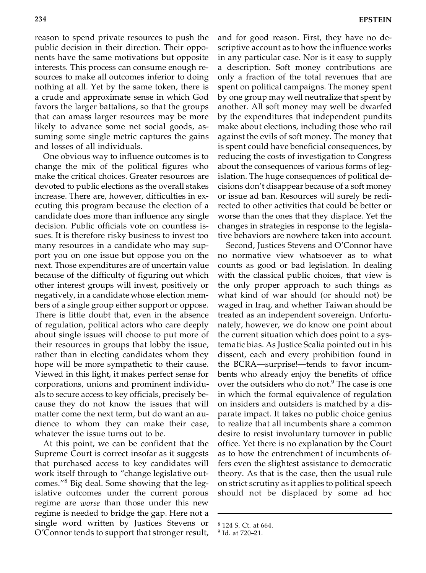reason to spend private resources to push the public decision in their direction. Their opponents have the same motivations but opposite interests. This process can consume enough resources to make all outcomes inferior to doing nothing at all. Yet by the same token, there is a crude and approximate sense in which God favors the larger battalions, so that the groups that can amass larger resources may be more likely to advance some net social goods, assuming some single metric captures the gains and losses of all individuals.

One obvious way to influence outcomes is to change the mix of the political figures who make the critical choices. Greater resources are devoted to public elections as the overall stakes increase. There are, however, difficulties in executing this program because the election of a candidate does more than influence any single decision. Public officials vote on countless issues. It is therefore risky business to invest too many resources in a candidate who may support you on one issue but oppose you on the next. Those expenditures are of uncertain value because of the difficulty of figuring out which other interest groups will invest, positively or negatively, in a candidate whose election members of a single group either support or oppose. There is little doubt that, even in the absence of regulation, political actors who care deeply about single issues will choose to put more of their resources in groups that lobby the issue, rather than in electing candidates whom they hope will be more sympathetic to their cause. Viewed in this light, it makes perfect sense for corporations, unions and prominent individuals to secure access to key officials, precisely because they do not know the issues that will matter come the next term, but do want an audience to whom they can make their case, whatever the issue turns out to be.

At this point, we can be confident that the Supreme Court is correct insofar as it suggests that purchased access to key candidates will work itself through to "change legislative outcomes."<sup>8</sup> Big deal. Some showing that the legislative outcomes under the current porous regime are *worse* than those under this new regime is needed to bridge the gap. Here not a single word written by Justices Stevens or O'Connor tends to support that stronger result,

and for good reason. First, they have no descriptive account as to how the influence works in any particular case. Nor is it easy to supply a description. Soft money contributions are only a fraction of the total revenues that are spent on political campaigns. The money spent by one group may well neutralize that spent by another. All soft money may well be dwarfed by the expenditures that independent pundits make about elections, including those who rail against the evils of soft money. The money that is spent could have beneficial consequences, by reducing the costs of investigation to Congress about the consequences of various forms of legislation. The huge consequences of political decisions don't disappear because of a soft money or issue ad ban. Resources will surely be redirected to other activities that could be better or worse than the ones that they displace. Yet the changes in strategies in response to the legislative behaviors are nowhere taken into account.

Second, Justices Stevens and O'Connor have no normative view whatsoever as to what counts as good or bad legislation. In dealing with the classical public choices, that view is the only proper approach to such things as what kind of war should (or should not) be waged in Iraq, and whether Taiwan should be treated as an independent sovereign. Unfortunately, however, we do know one point about the current situation which does point to a systematic bias. As Justice Scalia pointed out in his dissent, each and every prohibition found in the BCRA—surprise!—tends to favor incumbents who already enjoy the benefits of office over the outsiders who do not.<sup>9</sup> The case is one in which the formal equivalence of regulation on insiders and outsiders is matched by a disparate impact. It takes no public choice genius to realize that all incumbents share a common desire to resist involuntary turnover in public office. Yet there is no explanation by the Court as to how the entrenchment of incumbents offers even the slightest assistance to democratic theory. As that is the case, then the usual rule on strict scrutiny as it applies to political speech should not be displaced by some ad hoc

<sup>8</sup> 124 S. Ct. at 664.

<sup>&</sup>lt;sup>9</sup> Id. at 720–21.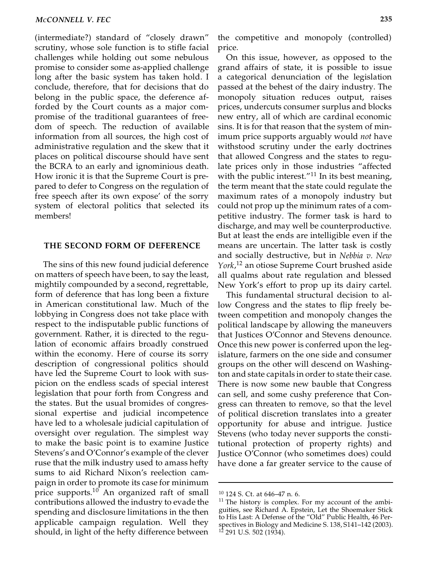(intermediate?) standard of "closely drawn" scrutiny, whose sole function is to stifle facial challenges while holding out some nebulous promise to consider some as-applied challenge long after the basic system has taken hold. I conclude, therefore, that for decisions that do belong in the public space, the deference afforded by the Court counts as a major compromise of the traditional guarantees of freedom of speech. The reduction of available information from all sources, the high cost of administrative regulation and the skew that it places on political discourse should have sent the BCRA to an early and ignominious death. How ironic it is that the Supreme Court is prepared to defer to Congress on the regulation of free speech after its own expose' of the sorry system of electoral politics that selected its members!

#### **THE SECOND FORM OF DEFERENCE**

The sins of this new found judicial deference on matters of speech have been, to say the least, mightily compounded by a second, regrettable, form of deference that has long been a fixture in American constitutional law. Much of the lobbying in Congress does not take place with respect to the indisputable public functions of government. Rather, it is directed to the regulation of economic affairs broadly construed within the economy. Here of course its sorry description of congressional politics should have led the Supreme Court to look with suspicion on the endless scads of special interest legislation that pour forth from Congress and the states. But the usual bromides of congressional expertise and judicial incompetence have led to a wholesale judicial capitulation of oversight over regulation. The simplest way to make the basic point is to examine Justice Stevens's and O'Connor's example of the clever ruse that the milk industry used to amass hefty sums to aid Richard Nixon's reelection campaign in order to promote its case for minimum price supports.<sup>10</sup> An organized raft of small contributions allowed the industry to evade the spending and disclosure limitations in the then applicable campaign regulation. Well they should, in light of the hefty difference between

the competitive and monopoly (controlled) price.

On this issue, however, as opposed to the grand affairs of state, it is possible to issue a categorical denunciation of the legislation passed at the behest of the dairy industry. The monopoly situation reduces output, raises prices, undercuts consumer surplus and blocks new entry, all of which are cardinal economic sins. It is for that reason that the system of minimum price supports arguably would *not* have withstood scrutiny under the early doctrines that allowed Congress and the states to regulate prices only in those industries "affected with the public interest."<sup>11</sup> In its best meaning, the term meant that the state could regulate the maximum rates of a monopoly industry but could not prop up the minimum rates of a competitive industry. The former task is hard to discharge, and may well be counterproductive. But at least the ends are intelligible even if the means are uncertain. The latter task is costly and socially destructive, but in *Nebbia v. New York*,<sup>12</sup> an otiose Supreme Court brushed aside all qualms about rate regulation and blessed New York's effort to prop up its dairy cartel.

This fundamental structural decision to allow Congress and the states to flip freely between competition and monopoly changes the political landscape by allowing the maneuvers that Justices O'Connor and Stevens denounce. Once this new power is conferred upon the legislature, farmers on the one side and consumer groups on the other will descend on Washington and state capitals in order to state their case. There is now some new bauble that Congress can sell, and some cushy preference that Congress can threaten to remove, so that the level of political discretion translates into a greater opportunity for abuse and intrigue. Justice Stevens (who today never supports the constitutional protection of property rights) and Justice O'Connor (who sometimes does) could have done a far greater service to the cause of

<sup>10</sup> 124 S. Ct. at 646–47 n. 6.

 $11$  The history is complex. For my account of the ambiguities, see Richard A. Epstein, Let the Shoemaker Stick to His Last: A Defense of the "Old" Public Health, 46 Perspectives in Biology and Medicine S. 138, S141–142 (2003).  $12$  291 U.S. 502 (1934).